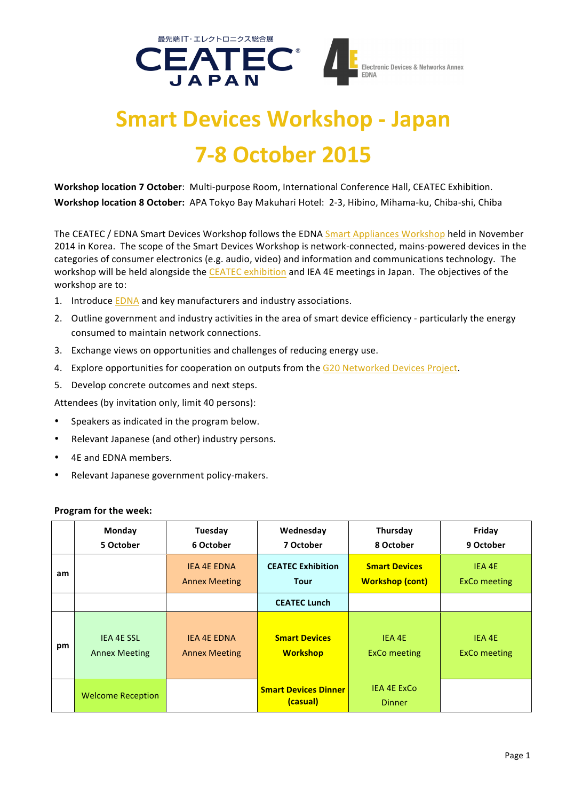

## **Smart Devices Workshop - Japan 7-8 October 2015**

Workshop location 7 October: Multi-purpose Room, International Conference Hall, CEATEC Exhibition. Workshop location 8 October: APA Tokyo Bay Makuhari Hotel: 2-3, Hibino, Mihama-ku, Chiba-shi, Chiba

The CEATEC / EDNA Smart Devices Workshop follows the EDNA Smart Appliances Workshop held in November 2014 in Korea. The scope of the Smart Devices Workshop is network-connected, mains-powered devices in the categories of consumer electronics (e.g. audio, video) and information and communications technology. The workshop will be held alongside the CEATEC exhibition and IEA 4E meetings in Japan. The objectives of the workshop are to:

- 1. Introduce EDNA and key manufacturers and industry associations.
- 2. Outline government and industry activities in the area of smart device efficiency particularly the energy consumed to maintain network connections.
- 3. Exchange views on opportunities and challenges of reducing energy use.
- 4. Explore opportunities for cooperation on outputs from the G20 Networked Devices Project.
- 5. Develop concrete outcomes and next steps.

Attendees (by invitation only, limit 40 persons):

- Speakers as indicated in the program below.
- Relevant Japanese (and other) industry persons.
- 4E and EDNA members.
- Relevant Japanese government policy-makers.

## **Program for the week:**

|    | Monday<br>5 October                       | Tuesday<br>6 October                       | Wednesday<br>7 October                  | Thursday<br>8 October                          | Friday<br>9 October           |
|----|-------------------------------------------|--------------------------------------------|-----------------------------------------|------------------------------------------------|-------------------------------|
| am |                                           | <b>IEA 4E EDNA</b><br><b>Annex Meeting</b> | <b>CEATEC Exhibition</b><br><b>Tour</b> | <b>Smart Devices</b><br><b>Workshop (cont)</b> | IEA 4E<br><b>ExCo</b> meeting |
|    |                                           |                                            | <b>CEATEC Lunch</b>                     |                                                |                               |
| pm | <b>IEA 4E SSL</b><br><b>Annex Meeting</b> | <b>IEA 4E EDNA</b><br><b>Annex Meeting</b> | <b>Smart Devices</b><br><b>Workshop</b> | IEA 4E<br><b>ExCo</b> meeting                  | IEA 4E<br><b>ExCo</b> meeting |
|    | <b>Welcome Reception</b>                  |                                            | <b>Smart Devices Dinner</b><br>(casual) | <b>IEA 4E ExCo</b><br><b>Dinner</b>            |                               |